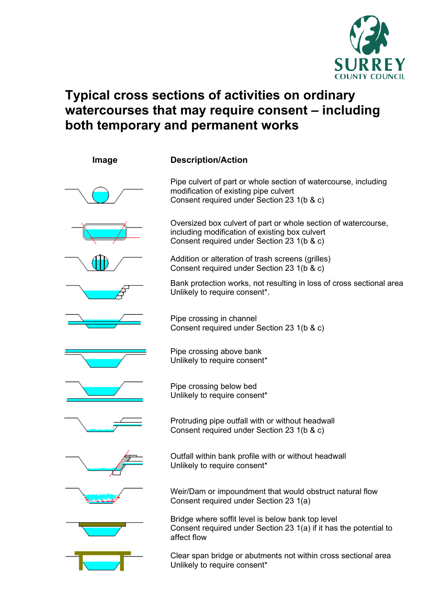

## **Typical cross sections of activities on ordinary watercourses that may require consent – including both temporary and permanent works**

| Image | <b>Description/Action</b>                                                                                                                                      |
|-------|----------------------------------------------------------------------------------------------------------------------------------------------------------------|
|       | Pipe culvert of part or whole section of watercourse, including<br>modification of existing pipe culvert<br>Consent required under Section 23 1(b & c)         |
|       | Oversized box culvert of part or whole section of watercourse,<br>including modification of existing box culvert<br>Consent required under Section 23 1(b & c) |
|       | Addition or alteration of trash screens (grilles)<br>Consent required under Section 23 1(b & c)                                                                |
|       | Bank protection works, not resulting in loss of cross sectional area<br>Unlikely to require consent*.                                                          |
|       | Pipe crossing in channel<br>Consent required under Section 23 1(b & c)                                                                                         |
|       | Pipe crossing above bank<br>Unlikely to require consent*                                                                                                       |
|       | Pipe crossing below bed<br>Unlikely to require consent*                                                                                                        |
|       | Protruding pipe outfall with or without headwall<br>Consent required under Section 23 1(b & c)                                                                 |
|       | Outfall within bank profile with or without headwall<br>Unlikely to require consent*                                                                           |
|       | Weir/Dam or impoundment that would obstruct natural flow<br>Consent required under Section 23 1(a)                                                             |
|       | Bridge where soffit level is below bank top level<br>Consent required under Section 23 1(a) if it has the potential to<br>affect flow                          |
|       | Clear span bridge or abutments not within cross sectional area<br>Unlikely to require consent*                                                                 |